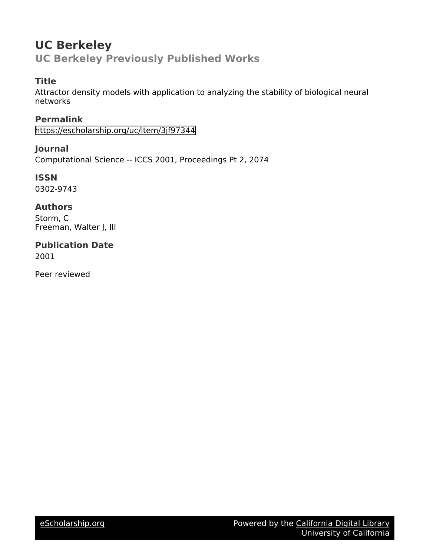# **UC Berkeley UC Berkeley Previously Published Works**

# **Title**

Attractor density models with application to analyzing the stability of biological neural networks

**Permalink** <https://escholarship.org/uc/item/3jf97344>

**Journal** Computational Science -- ICCS 2001, Proceedings Pt 2, 2074

**ISSN** 0302-9743

## **Authors**

Storm, C Freeman, Walter J, III

**Publication Date** 2001

Peer reviewed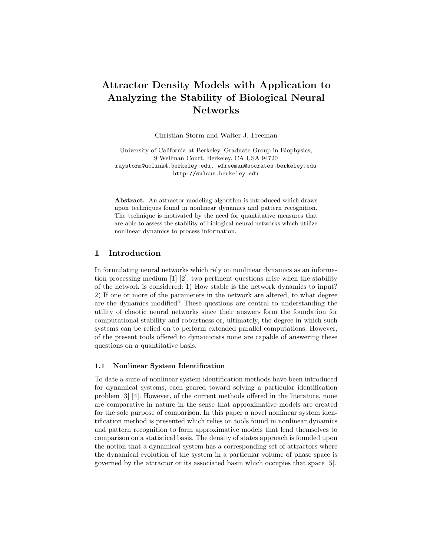# Attractor Density Models with Application to Analyzing the Stability of Biological Neural Networks

Christian Storm and Walter J. Freeman

University of California at Berkeley, Graduate Group in Biophysics, 9 Wellman Court, Berkeley, CA USA 94720 raystorm@uclink4.berkeley.edu, wfreeman@socrates.berkeley.edu http://sulcus.berkeley.edu

Abstract. An attractor modeling algorithm is introduced which draws upon techniques found in nonlinear dynamics and pattern recognition. The technique is motivated by the need for quantitative measures that are able to assess the stability of biological neural networks which utilize nonlinear dynamics to process information.

### 1 Introduction

In formulating neural networks which rely on nonlinear dynamics as an information processing medium [1] [2], two pertinent questions arise when the stability of the network is considered: 1) How stable is the network dynamics to input? 2) If one or more of the parameters in the network are altered, to what degree are the dynamics modified? These questions are central to understanding the utility of chaotic neural networks since their answers form the foundation for computational stability and robustness or, ultimately, the degree in which such systems can be relied on to perform extended parallel computations. However, of the present tools offered to dynamicists none are capable of answering these questions on a quantitative basis.

#### 1.1 Nonlinear System Identification

To date a suite of nonlinear system identification methods have been introduced for dynamical systems, each geared toward solving a particular identification problem [3] [4]. However, of the current methods offered in the literature, none are comparative in nature in the sense that approximative models are created for the sole purpose of comparison. In this paper a novel nonlinear system identification method is presented which relies on tools found in nonlinear dynamics and pattern recognition to form approximative models that lend themselves to comparison on a statistical basis. The density of states approach is founded upon the notion that a dynamical system has a corresponding set of attractors where the dynamical evolution of the system in a particular volume of phase space is governed by the attractor or its associated basin which occupies that space [5].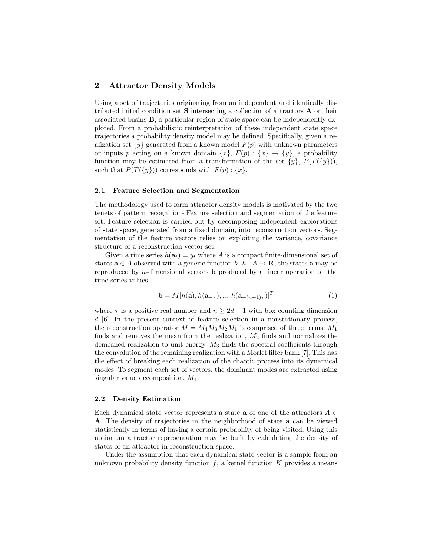#### 2 Attractor Density Models

Using a set of trajectories originating from an independent and identically distributed initial condition set S intersecting a collection of attractors A or their associated basins B, a particular region of state space can be independently explored. From a probabilistic reinterpretation of these independent state space trajectories a probability density model may be defined. Specifically, given a realization set  $\{y\}$  generated from a known model  $F(p)$  with unknown parameters or inputs p acting on a known domain  $\{x\}, F(p) : \{x\} \to \{y\}, \$ a probability function may be estimated from a transformation of the set  $\{y\}$ ,  $P(T({y})),$ such that  $P(T({y}))$  corresponds with  $F(p): {x}.$ 

#### 2.1 Feature Selection and Segmentation

The methodology used to form attractor density models is motivated by the two tenets of pattern recognition- Feature selection and segmentation of the feature set. Feature selection is carried out by decomposing independent explorations of state space, generated from a fixed domain, into reconstruction vectors. Segmentation of the feature vectors relies on exploiting the variance, covariance structure of a reconstruction vector set.

Given a time series  $h(\mathbf{a}_t) = y_t$  where A is a compact finite-dimensional set of states  $\mathbf{a} \in A$  observed with a generic function  $h, h : A \to \mathbf{R}$ , the states **a** may be reproduced by n-dimensional vectors b produced by a linear operation on the time series values

$$
\mathbf{b} = M[h(\mathbf{a}), h(\mathbf{a}_{-\tau}), ..., h(\mathbf{a}_{-(n-1)\tau})]^T
$$
(1)

where  $\tau$  is a positive real number and  $n \geq 2d+1$  with box counting dimension d [6]. In the present context of feature selection in a nonstationary process, the reconstruction operator  $M = M_4 M_3 M_2 M_1$  is comprised of three terms:  $M_1$ finds and removes the mean from the realization,  $M_2$  finds and normalizes the demeaned realization to unit energy,  $M_3$  finds the spectral coefficients through the convolution of the remaining realization with a Morlet filter bank [7]. This has the effect of breaking each realization of the chaotic process into its dynamical modes. To segment each set of vectors, the dominant modes are extracted using singular value decomposition,  $M_4$ .

#### 2.2 Density Estimation

Each dynamical state vector represents a state **a** of one of the attractors  $A \in$ A. The density of trajectories in the neighborhood of state a can be viewed statistically in terms of having a certain probability of being visited. Using this notion an attractor representation may be built by calculating the density of states of an attractor in reconstruction space.

Under the assumption that each dynamical state vector is a sample from an unknown probability density function  $f$ , a kernel function  $K$  provides a means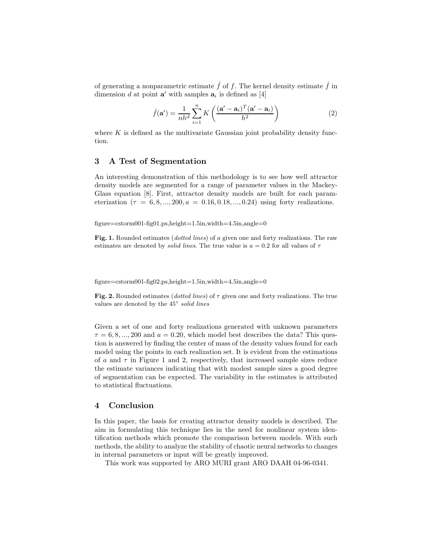of generating a nonparametric estimate  $\hat{f}$  of f. The kernel density estimate  $\hat{f}$  in dimension d at point  $\mathbf{a}'$  with samples  $\mathbf{a}_i$  is defined as [4]

$$
\hat{f}(\mathbf{a}') = \frac{1}{nh^d} \sum_{i=1}^n K\left(\frac{(\mathbf{a}' - \mathbf{a}_i)^T (\mathbf{a}' - \mathbf{a}_i)}{h^2}\right)
$$
(2)

where  $K$  is defined as the multivariate Gaussian joint probability density function.

### 3 A Test of Segmentation

An interesting demonstration of this methodology is to see how well attractor density models are segmented for a range of parameter values in the Mackey-Glass equation [8]. First, attractor density models are built for each parameterization  $(\tau = 6, 8, ..., 200, a = 0.16, 0.18, ..., 0.24)$  using forty realizations.

figure=cstorm001-fig01.ps,height=1.5in,width=4.5in,angle=0

Fig. 1. Rounded estimates (dotted lines) of a given one and forty realizations. The raw estimates are denoted by *solid lines*. The true value is  $a = 0.2$  for all values of  $\tau$ 

 $figure = cstorm001-fig02.ps, height=1.5in, width=4.5in, angle=0$ 

Fig. 2. Rounded estimates (dotted lines) of  $\tau$  given one and forty realizations. The true values are denoted by the 45° solid lines

Given a set of one and forty realizations generated with unknown parameters  $\tau = 6, 8, ..., 200$  and  $a = 0.20$ , which model best describes the data? This question is answered by finding the center of mass of the density values found for each model using the points in each realization set. It is evident from the estimations of a and  $\tau$  in Figure 1 and 2, respectively, that increased sample sizes reduce the estimate variances indicating that with modest sample sizes a good degree of segmentation can be expected. The variability in the estimates is attributed to statistical fluctuations.

#### 4 Conclusion

In this paper, the basis for creating attractor density models is described. The aim in formulating this technique lies in the need for nonlinear system identification methods which promote the comparison between models. With such methods, the ability to analyze the stability of chaotic neural networks to changes in internal parameters or input will be greatly improved.

This work was supported by ARO MURI grant ARO DAAH 04-96-0341.